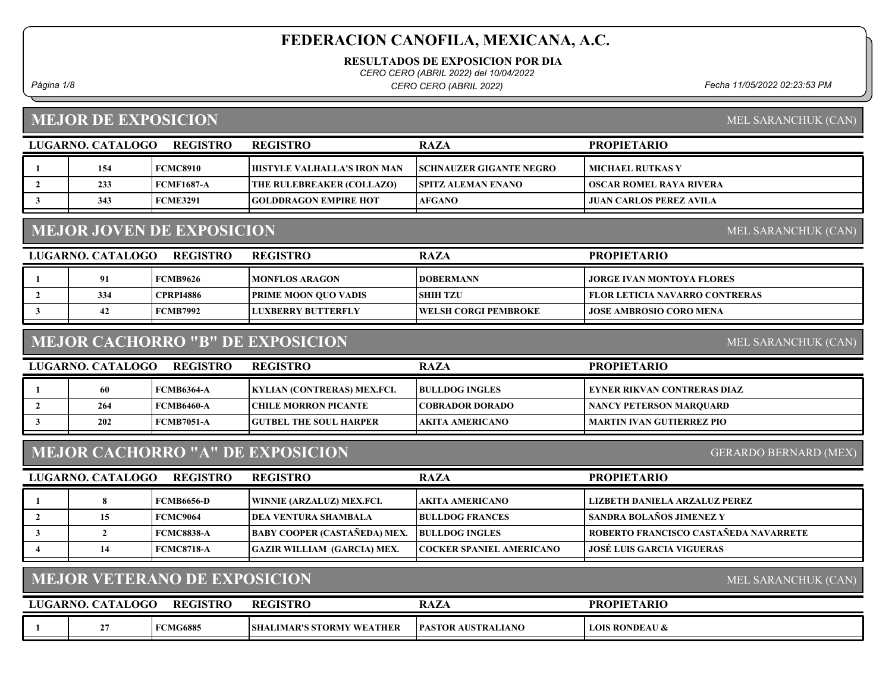RESULTADOS DE EXPOSICION POR DIA

CERO CERO (ABRIL 2022) del 10/04/2022

Página 1/8 Fecha 11/05/2022 02:23:53 PM CERO CERO (ABRIL 2022)

# MEJOR DE EXPOSICION

MEL SARANCHUK (CAN)

|                                  | LUGARNO. CATALOGO   | <b>REGISTRO</b>                     | <b>REGISTRO</b>                         | <b>RAZA</b>                     | <b>PROPIETARIO</b>                    |
|----------------------------------|---------------------|-------------------------------------|-----------------------------------------|---------------------------------|---------------------------------------|
|                                  | 154                 | <b>FCMC8910</b>                     | HISTYLE VALHALLA'S IRON MAN             | <b>SCHNAUZER GIGANTE NEGRO</b>  | <b>MICHAEL RUTKAS Y</b>               |
| $\overline{2}$                   | 233                 | <b>FCMF1687-A</b>                   | THE RULEBREAKER (COLLAZO)               | <b>SPITZ ALEMAN ENANO</b>       | <b>OSCAR ROMEL RAYA RIVERA</b>        |
| 3                                | 343                 | <b>FCME3291</b>                     | <b>GOLDDRAGON EMPIRE HOT</b>            | <b>AFGANO</b>                   | <b>JUAN CARLOS PEREZ AVILA</b>        |
| <b>MEJOR JOVEN DE EXPOSICION</b> | MEL SARANCHUK (CAN) |                                     |                                         |                                 |                                       |
|                                  | LUGARNO. CATALOGO   | <b>REGISTRO</b>                     | <b>REGISTRO</b>                         | <b>RAZA</b>                     | <b>PROPIETARIO</b>                    |
|                                  | 91                  | <b>FCMB9626</b>                     | <b>MONFLOS ARAGON</b>                   | <b>DOBERMANN</b>                | <b>JORGE IVAN MONTOYA FLORES</b>      |
| $\overline{2}$                   | 334                 | <b>CPRPI4886</b>                    | PRIME MOON QUO VADIS                    | <b>SHIH TZU</b>                 | <b>FLOR LETICIA NAVARRO CONTRERAS</b> |
| 3                                | 42                  | <b>FCMB7992</b>                     | <b>LUXBERRY BUTTERFLY</b>               | <b>WELSH CORGI PEMBROKE</b>     | <b>JOSE AMBROSIO CORO MENA</b>        |
|                                  |                     |                                     | <b>MEJOR CACHORRO "B" DE EXPOSICION</b> |                                 | MEL SARANCHUK (CAN)                   |
|                                  | LUGARNO. CATALOGO   | <b>REGISTRO</b>                     | <b>REGISTRO</b>                         | <b>RAZA</b>                     | <b>PROPIETARIO</b>                    |
| -1                               | 60                  | <b>FCMB6364-A</b>                   | KYLIAN (CONTRERAS) MEX.FCI.             | <b>BULLDOG INGLES</b>           | <b>EYNER RIKVAN CONTRERAS DIAZ</b>    |
| $\overline{2}$                   | 264                 | <b>FCMB6460-A</b>                   | <b>CHILE MORRON PICANTE</b>             | <b>COBRADOR DORADO</b>          | <b>NANCY PETERSON MARQUARD</b>        |
| 3                                | 202                 | <b>FCMB7051-A</b>                   | <b>GUTBEL THE SOUL HARPER</b>           | <b>AKITA AMERICANO</b>          | <b>MARTIN IVAN GUTIERREZ PIO</b>      |
|                                  |                     |                                     | <b>MEJOR CACHORRO "A" DE EXPOSICION</b> |                                 | <b>GERARDO BERNARD (MEX)</b>          |
|                                  | LUGARNO. CATALOGO   | <b>REGISTRO</b>                     | <b>REGISTRO</b>                         | <b>RAZA</b>                     | <b>PROPIETARIO</b>                    |
| -1                               | 8                   | <b>FCMB6656-D</b>                   | WINNIE (ARZALUZ) MEX.FCI.               | <b>AKITA AMERICANO</b>          | <b>LIZBETH DANIELA ARZALUZ PEREZ</b>  |
| $\overline{2}$                   | 15                  | <b>FCMC9064</b>                     | DEA VENTURA SHAMBALA                    | <b>BULLDOG FRANCES</b>          | SANDRA BOLAÑOS JIMENEZ Y              |
| 3                                | $\boldsymbol{2}$    | <b>FCMC8838-A</b>                   | <b>BABY COOPER (CASTAÑEDA) MEX.</b>     | <b>BULLDOG INGLES</b>           | ROBERTO FRANCISCO CASTAÑEDA NAVARRETE |
| $\boldsymbol{4}$                 | 14                  | <b>FCMC8718-A</b>                   | <b>GAZIR WILLIAM (GARCIA) MEX.</b>      | <b>COCKER SPANIEL AMERICANO</b> | <b>JOSÉ LUIS GARCIA VIGUERAS</b>      |
|                                  |                     | <b>MEJOR VETERANO DE EXPOSICION</b> |                                         |                                 | MEL SARANCHUK (CAN)                   |
|                                  | LUGARNO. CATALOGO   | <b>REGISTRO</b>                     | <b>REGISTRO</b>                         | <b>RAZA</b>                     | <b>PROPIETARIO</b>                    |
| -1                               | 27                  | <b>FCMG6885</b>                     | SHALIMAR'S STORMY WEATHER               | <b>PASTOR AUSTRALIANO</b>       | <b>LOIS RONDEAU &amp;</b>             |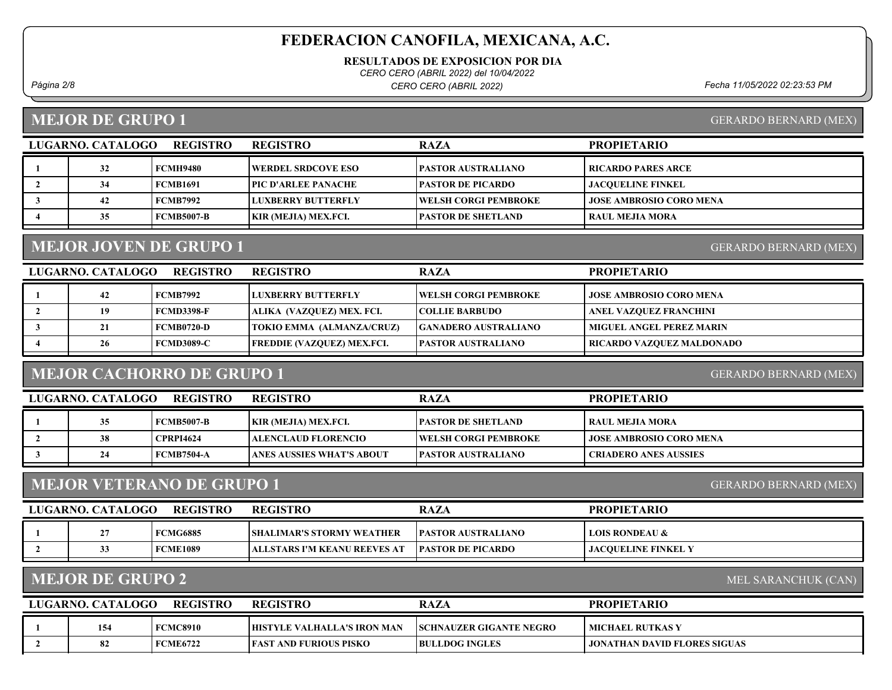RESULTADOS DE EXPOSICION POR DIA

CERO CERO (ABRIL 2022) del 10/04/2022

Página 2/8 Fecha 11/05/2022 02:23:53 PM CERO CERO (ABRIL 2022)

#### MEJOR DE GRUPO 1

GERARDO BERNARD (MEX)

GERARDO BERNARD (MEX)

| LUGARNO. CATALOGO | <b>REGISTRO</b> | <b>REGISTRO</b>           | <b>RAZA</b>                  | <b>PROPIETARIO</b>             |
|-------------------|-----------------|---------------------------|------------------------------|--------------------------------|
| 32                | FCMH9480        | <b>WERDEL SRDCOVE ESO</b> | <b>PASTOR AUSTRALIANO</b>    | <b>RICARDO PARES ARCE</b>      |
| 34                | FCMB1691        | [PIC D'ARLEE PANACHE]     | <b>PASTOR DE PICARDO</b>     | <b>JACOUELINE FINKEL</b>       |
| 42                | FCMB7992        | <b>LUXBERRY BUTTERFLY</b> | <b>TWELSH CORGI PEMBROKE</b> | <b>JOSE AMBROSIO CORO MENA</b> |
| 35                | FCMB5007-B      | KIR (MEJIA) MEX.FCI.      | <b>PASTOR DE SHETLAND</b>    | RAUL MEJIA MORA                |
|                   |                 |                           |                              |                                |

# MEJOR JOVEN DE GRUPO 1

LUGARNO. CATALOGO REGISTRO REGISTRO RAZA PROPIETARIO 1 42 FCMB7992 LUXBERRY BUTTERFLY JOSE AMBROSIO CORO MENA WELSH CORGI PEMBROKE 2 | 19 | FCMD3398-F | ALIKA (VAZQUEZ) MEX. FCI. | COLLIE BARBUDO | ANEL VAZQUEZ FRANCHINI 3 21 FCMB0720-D TOKIO EMMA (ALMANZA/CRUZ) GANADERO AUSTRALIANO MIGUEL ANGEL PEREZ MARIN 4 | 26 FCMD3089-C FREDDIE (VAZQUEZ) MEX.FCI. |PASTOR AUSTRALIANO | RICARDO VAZQUEZ MALDONADO

### MEJOR CACHORRO DE GRUPO 1

GERARDO BERNARD (MEX)

GERARDO BERNARD (MEX)

| LUGARNO. CATALOGO<br><b>REGISTRO</b> |    |                  | <b>REGISTRO</b>           | <b>RAZA</b>                  | <b>PROPIETARIO</b>             |
|--------------------------------------|----|------------------|---------------------------|------------------------------|--------------------------------|
|                                      | 35 | FCMB5007-B       | KIR (MEJIA) MEX.FCI.      | [PASTOR DE SHETLAND]         | RAUL MEJIA MORA                |
|                                      | 38 | <b>CPRPI4624</b> | ALENCLAUD FLORENCIO_      | <b>IWELSH CORGI PEMBROKE</b> | <b>JOSE AMBROSIO CORO MENA</b> |
|                                      | 24 | FCMB7504-A       | ANES AUSSIES WHAT'S ABOUT | <b>IPASTOR AUSTRALIANO</b>   | <b>CRIADERO ANES AUSSIES</b>   |

### MEJOR VETERANO DE GRUPO 1

| LUGARNO, CATALOGO | <b>REGISTRO</b> | <b>REGISTRO</b>                   | RAZA                       | <b>PROPIETARIO</b>           |
|-------------------|-----------------|-----------------------------------|----------------------------|------------------------------|
|                   | <b>FCMG6885</b> | <b>ISHALIMAR'S STORMY WEATHER</b> | <b>IPASTOR AUSTRALIANO</b> | <b>LOIS RONDEAU &amp;</b>    |
|                   | <b>FCME1089</b> | ALLSTARS I'M KEANU REEVES AT      | <b>IPASTOR DE PICARDO</b>  | <b>I JACOUELINE FINKEL Y</b> |

### MEJOR DE GRUPO 2

MEL SARANCHUK (CAN)

| LUGARNO. CATALOGO | <b>REGISTRO</b> | <b>REGISTRO</b>                     | RAZA                            | <b>PROPIETARIO</b>                  |
|-------------------|-----------------|-------------------------------------|---------------------------------|-------------------------------------|
| 154               | <b>FCMC8910</b> | <b>THISTYLE VALHALLA'S IRON MAN</b> | <b>ISCHNAUZER GIGANTE NEGRO</b> | MICHAEL RUTKAS Y                    |
| 82                | <b>FCME6722</b> | [FAST AND FURIOUS PISKO             | <b>BULLDOG INGLES</b>           | <b>JONATHAN DAVID FLORES SIGUAS</b> |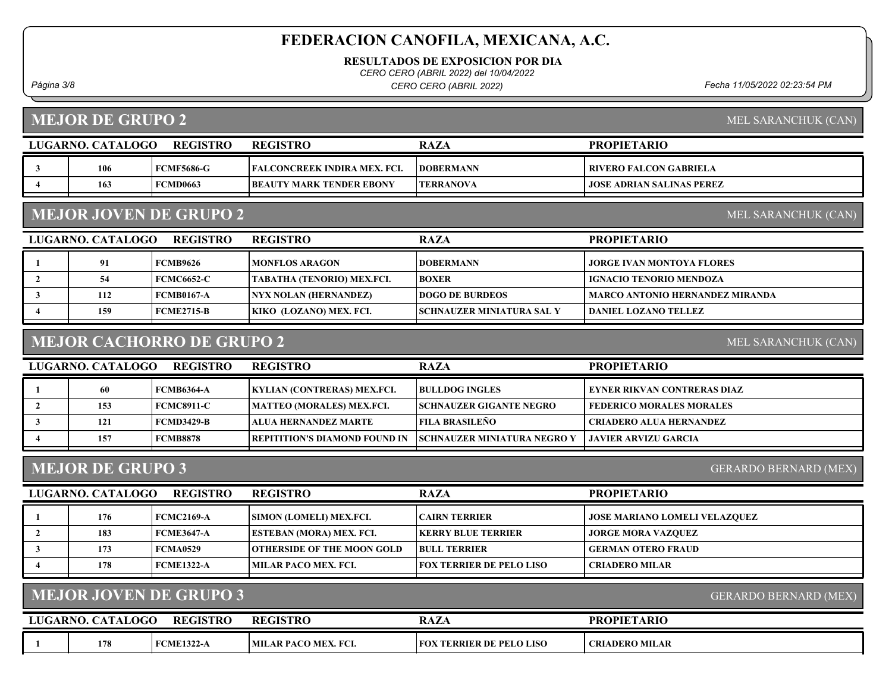RESULTADOS DE EXPOSICION POR DIA

CERO CERO (ABRIL 2022) del 10/04/2022

Página 3/8 Fecha 11/05/2022 02:23:54 PM CERO CERO (ABRIL 2022)

### MEJOR DE GRUPO 2

MEL SARANCHUK (CAN)

| LUGARNO. CATALOGO | <b>REGISTRO</b>        | <b>REGISTRO</b>                     | <b>RAZA</b>       | <b>PROPIETARIO</b>               |
|-------------------|------------------------|-------------------------------------|-------------------|----------------------------------|
| 106               | <b>FCMF5686-G</b>      | <b>FALCONCREEK INDIRA MEX. FCI.</b> | <b>IDOBERMANN</b> | <b>RIVERO FALCON GABRIELA</b>    |
| 163               | <b>FCMD0663</b>        | <b>BEAUTY MARK TENDER EBONY</b>     | <b>TERRANOVA</b>  | <b>JOSE ADRIAN SALINAS PEREZ</b> |
|                   |                        |                                     |                   |                                  |
|                   | MEJOR JOVEN DE GRUPO 2 | MEL SARANCHUK (CAN)                 |                   |                                  |

| LUGARNO. CATALOGO<br><b>REGISTRO</b> |     |                   | <b>REGISTRO</b>                   | <b>RAZA</b>                       | <b>PROPIETARIO</b>                     |
|--------------------------------------|-----|-------------------|-----------------------------------|-----------------------------------|----------------------------------------|
|                                      | 91  | FCMB9626          | IMONFLOS ARAGON                   | <b>IDOBERMANN</b>                 | <b>JORGE IVAN MONTOYA FLORES</b>       |
|                                      | 54  | <b>FCMC6652-C</b> | <b>TABATHA (TENORIO) MEX.FCI.</b> | <b>BOXER</b>                      | IGNACIO TENORIO MENDOZA                |
|                                      | 112 | <b>FCMB0167-A</b> | <b>NYX NOLAN (HERNANDEZ)</b>      | <b>DOGO DE BURDEOS</b>            | <b>MARCO ANTONIO HERNANDEZ MIRANDA</b> |
|                                      | 159 | FCME2715-B        | KIKO (LOZANO) MEX. FCI.           | <b>ISCHNAUZER MINIATURA SAL Y</b> | DANIEL LOZANO TELLEZ                   |

### MEJOR CACHORRO DE GRUPO 2

MEL SARANCHUK (CAN)

| LUGARNO. CATALOGO | <b>REGISTRO</b> | <b>REGISTRO</b>                       | <b>RAZA</b>                        | <b>PROPIETARIO</b>              |
|-------------------|-----------------|---------------------------------------|------------------------------------|---------------------------------|
| 60                | FCMB6364-A      | KYLIAN (CONTRERAS) MEX.FCI.           | <b>BULLDOG INGLES</b>              | EYNER RIKVAN CONTRERAS DIAZ     |
| 153               | FCMC8911-C      | MATTEO (MORALES) MEX.FCI.             | <b>ISCHNAUZER GIGANTE NEGRO</b>    | <b>FEDERICO MORALES MORALES</b> |
| 121               | FCMD3429-B      | ALUA HERNANDEZ MARTE                  | <b>FILA BRASILEÑO</b>              | <b>CRIADERO ALUA HERNANDEZ</b>  |
| 157               | <b>FCMB8878</b> | <b> REPITITION'S DIAMOND FOUND IN</b> | <b>SCHNAUZER MINIATURA NEGRO Y</b> | JAVIER ARVIZU GARCIA            |
|                   |                 |                                       |                                    |                                 |

# MEJOR DE GRUPO 3

GERARDO BERNARD (MEX)

GERARDO BERNARD (MEX)

| LUGARNO. CATALOGO | <b>REGISTRO</b>   | <b>REGISTRO</b>                    | <b>RAZA</b>                     | <b>PROPIETARIO</b>                   |
|-------------------|-------------------|------------------------------------|---------------------------------|--------------------------------------|
| 176               | FCMC2169-A        | <b>SIMON (LOMELI) MEX.FCI.</b>     | <b>CAIRN TERRIER</b>            | <b>JOSE MARIANO LOMELI VELAZQUEZ</b> |
| 183               | <b>FCME3647-A</b> | <b>ESTEBAN (MORA) MEX. FCI.</b>    | <b>KERRY BLUE TERRIER</b>       | <b>JORGE MORA VAZQUEZ</b>            |
| 173               | FCMA0529          | <b> OTHERSIDE OF THE MOON GOLD</b> | <b>BULL TERRIER</b>             | <b>GERMAN OTERO FRAUD</b>            |
| 178               | FCME1322-A        | <b>MILAR PACO MEX. FCI.</b>        | <b>FOX TERRIER DE PELO LISO</b> | <b>CRIADERO MILAR</b>                |
|                   |                   |                                    |                                 |                                      |

#### MEJOR JOVEN DE GRUPO 3

| <b>LUGARNO.</b> C | <b>ATALOGO</b><br>$C$ and a $T$ | <b>REGISTRO</b> | <b>REGISTRO</b>             | <b>RAZA</b>                               | <b>PROPIETARIO</b>    |
|-------------------|---------------------------------|-----------------|-----------------------------|-------------------------------------------|-----------------------|
|                   | 178                             | $FCME1322-A$    | <b>MILAR PACO MEX. FCI.</b> | <b>FOX</b><br><b>TERRIER DE PELO LISO</b> | <b>CRIADERO MILAR</b> |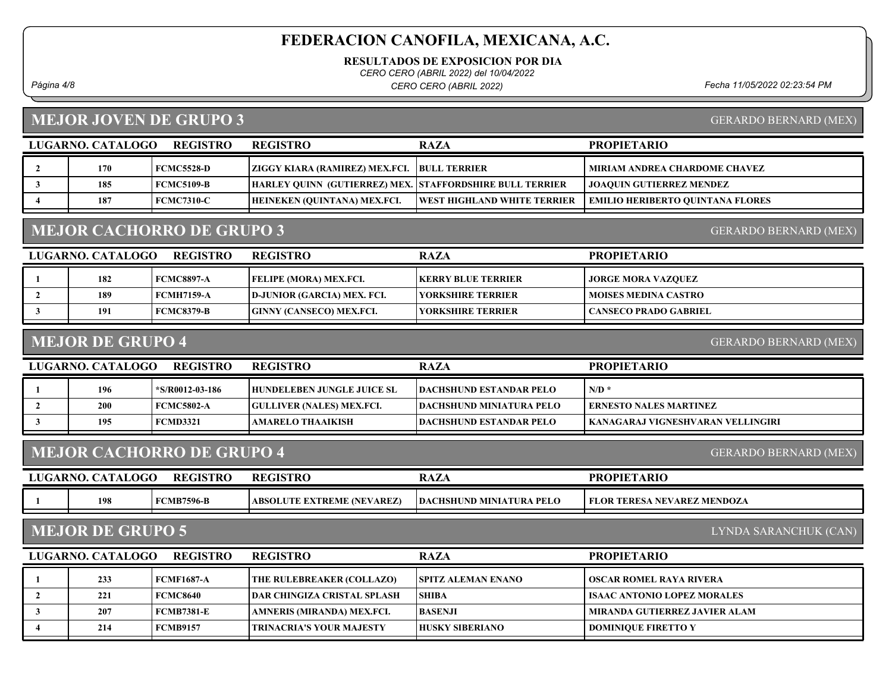RESULTADOS DE EXPOSICION POR DIA

CERO CERO (ABRIL 2022) del 10/04/2022

Página 4/8 Fecha 11/05/2022 02:23:54 PM CERO CERO (ABRIL 2022)

### MEJOR JOVEN DE GRUPO 3

GERARDO BERNARD (MEX)

GERARDO BERNARD (MEX)

| LUGARNO. CATALOGO | <b>REGISTRO</b>   | <b>REGISTRO</b>                                                 | <b>RAZA</b>                         | <b>PROPIETARIO</b>               |
|-------------------|-------------------|-----------------------------------------------------------------|-------------------------------------|----------------------------------|
| 170               | <b>FCMC5528-D</b> | <b>ZIGGY KIARA (RAMIREZ) MEX.FCI.  BULL TERRIER</b>             |                                     | MIRIAM ANDREA CHARDOME CHAVEZ    |
| 185               | <b>FCMC5109-B</b> | <b>HARLEY QUINN (GUTIERREZ) MEX. STAFFORDSHIRE BULL TERRIER</b> |                                     | <b>JOAQUIN GUTIERREZ MENDEZ</b>  |
| 187               | <b>FCMC7310-C</b> | HEINEKEN (QUINTANA) MEX.FCI.                                    | <b>IWEST HIGHLAND WHITE TERRIER</b> | EMILIO HERIBERTO QUINTANA FLORES |
|                   |                   |                                                                 |                                     |                                  |

### MEJOR CACHORRO DE GRUPO 3

LUGARNO. CATALOGO REGISTRO RAZA PROPIETARIO REGISTRO 1 182 FCMC8897-A FELIPE (MORA) MEX.FCI. KERRY BLUE TERRIER JORGE MORA VAZQUEZ 2 | 189 FCMH7159-A D-JUNIOR (GARCIA) MEX. FCI. YORKSHIRE TERRIER | MOISES MEDINA CASTRO 3 191 FCMC8379-B GINNY (CANSECO) MEX.FCI. YORKSHIRE TERRIER CANSECO PRADO GABRIEL

#### MEJOR DE GRUPO 4

GERARDO BERNARD (MEX)

| LUGARNO. CATALOGO<br>REGISTRO |     |                 | <b>REGISTRO</b>                   | <b>RAZA</b>                    | <b>PROPIETARIO</b>                |
|-------------------------------|-----|-----------------|-----------------------------------|--------------------------------|-----------------------------------|
|                               | 196 | *S/R0012-03-186 | <b>HUNDELEBEN JUNGLE JUICE SL</b> | <b>DACHSHUND ESTANDAR PELO</b> | $N/D$ *                           |
|                               | 200 | FCMC5802-A      | <b>GULLIVER (NALES) MEX.FCI.</b>  | DACHSHUND MINIATURA PELO       | <b>ERNESTO NALES MARTINEZ</b>     |
|                               | 195 | <b>FCMD3321</b> | AMARELO THAAIKISH                 | <b>DACHSHUND ESTANDAR PELO</b> | KANAGARAJ VIGNESHVARAN VELLINGIRI |

#### MEJOR CACHORRO DE GRUPO 4

GERARDO BERNARD (MEX)

| LUGARNO. CATALOGO | <b>REGISTRO</b> | <b>REGISTRO</b>                   | <b>RAZA</b>                     | <b>PROPIETARIO</b>          |
|-------------------|-----------------|-----------------------------------|---------------------------------|-----------------------------|
| 198               | FCMB7596-B      | <b>ABSOLUTE EXTREME (NEVAREZ)</b> | <b>DACHSHUND MINIATURA PELO</b> | FLOR TERESA NEVAREZ MENDOZA |
|                   |                 |                                   |                                 |                             |

## MEJOR DE GRUPO 5

LYNDA SARANCHUK (CAN)

| LUGARNO. CATALOGO<br><b>REGISTRO</b> |     |                   | <b>REGISTRO</b>                  | <b>RAZA</b>               | <b>PROPIETARIO</b>                 |
|--------------------------------------|-----|-------------------|----------------------------------|---------------------------|------------------------------------|
|                                      | 233 | <b>FCMF1687-A</b> | <b>THE RULEBREAKER (COLLAZO)</b> | <b>SPITZ ALEMAN ENANO</b> | OSCAR ROMEL RAYA RIVERA            |
|                                      | 221 | FCMC8640          | DAR CHINGIZA CRISTAL SPLASH_     | <b>SHIBA</b>              | <b>ISAAC ANTONIO LOPEZ MORALES</b> |
|                                      | 207 | FCMB7381-E        | AMNERIS (MIRANDA) MEX.FCI.       | <b>BASENJI</b>            | MIRANDA GUTIERREZ JAVIER ALAM      |
|                                      | 214 | <b>FCMB9157</b>   | <b>TRINACRIA'S YOUR MAJESTY</b>  | <b>HUSKY SIBERIANO</b>    | <b>DOMINIQUE FIRETTO Y</b>         |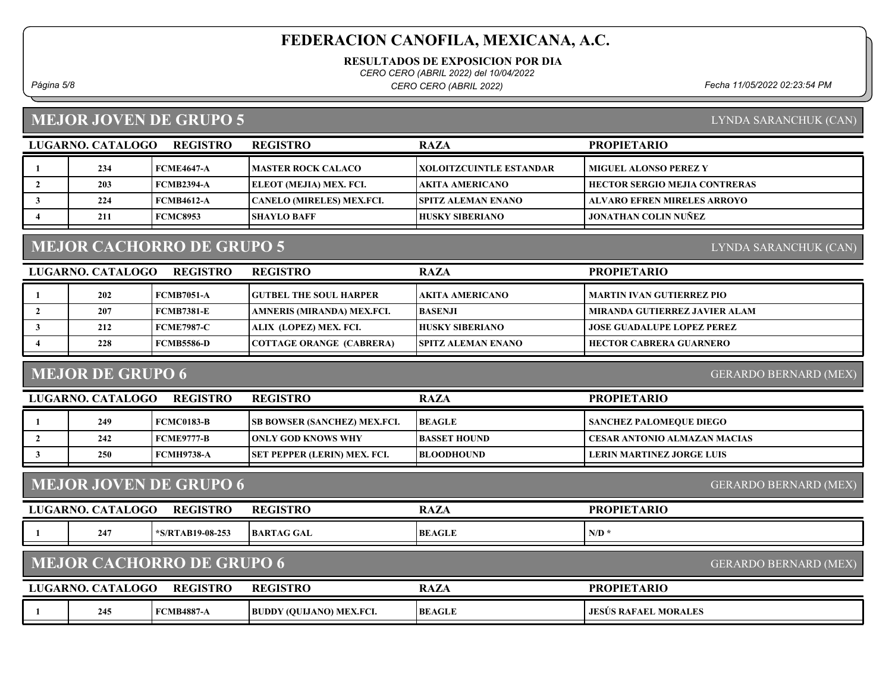RESULTADOS DE EXPOSICION POR DIA

CERO CERO (ABRIL 2022) del 10/04/2022

Página 5/8 Fecha 11/05/2022 02:23:54 PM CERO CERO (ABRIL 2022)

### MEJOR JOVEN DE GRUPO 5

LYNDA SARANCHUK (CAN)

| LUGARNO. CATALOGO | <b>REGISTRO</b>   | <b>REGISTRO</b>                  | <b>RAZA</b>                     | <b>PROPIETARIO</b>                   |
|-------------------|-------------------|----------------------------------|---------------------------------|--------------------------------------|
| 234               | FCME4647-A        | <b>IMASTER ROCK CALACO</b>       | <b>IXOLOITZCUINTLE ESTANDAR</b> | <b>MIGUEL ALONSO PEREZ Y</b>         |
| 203               | <b>FCMB2394-A</b> | <b>ELEOT (MEJIA) MEX. FCI.</b>   | AKITA AMERICANO                 | <b>HECTOR SERGIO MEJIA CONTRERAS</b> |
| 224               | <b>FCMB4612-A</b> | <b>CANELO (MIRELES) MEX.FCI.</b> | <b>SPITZ ALEMAN ENANO</b>       | <b>ALVARO EFREN MIRELES ARROYO</b>   |
| 211               | <b>FCMC8953</b>   | <b>SHAYLO BAFF</b>               | <b>HUSKY SIBERIANO</b>          | JONATHAN COLIN NUÑEZ                 |

# MEJOR CACHORRO DE GRUPO 5

LUGARNO. CATALOGO REGISTRO REGISTRO RAZA PROPIETARIO 1 202 FCMB7051-A GUTBEL THE SOUL HARPER AKITA AMERICANO MARTIN IVAN GUTIERREZ PIO 2 207 FCMB7381-E AMNERIS (MIRANDA) MEX.FCI. BASENJI NIRANDA GUTIERREZ JAVIER ALAM 3 212 FCME7987-C ALIX (LOPEZ) MEX. FCI. HUSKY SIBERIANO JOSE GUADALUPE LOPEZ PEREZ 4 228 FCMB5586-D COTTAGE ORANGE (CABRERA) SPITZ ALEMAN ENANO HECTOR CABRERA GUARNERO

### MEJOR DE GRUPO 6

GERARDO BERNARD (MEX)

LYNDA SARANCHUK (CAN)

| LUGARNO. CATALOGO | <b>REGISTRO</b>   | <b>REGISTRO</b>                     | <b>RAZA</b>   | <b>PROPIETARIO</b>                  |
|-------------------|-------------------|-------------------------------------|---------------|-------------------------------------|
| 249               | <b>FCMC0183-B</b> | <b>SB BOWSER (SANCHEZ) MEX.FCI.</b> | <b>BEAGLE</b> | SANCHEZ PALOMEOUE DIEGO             |
| 242               | <b>FCME9777-B</b> | <b>TONLY GOD KNOWS WHY</b>          | BASSET HOUND_ | <b>CESAR ANTONIO ALMAZAN MACIAS</b> |
| 250               | <b>FCMH9738-A</b> | <b>SET PEPPER (LERIN) MEX. FCI.</b> | BLOODHOUND_   | <b>LERIN MARTINEZ JORGE LUIS</b>    |
|                   |                   |                                     |               |                                     |

### MEJOR JOVEN DE GRUPO 6

GERARDO BERNARD (MEX)

| <b>LUGARNO. CATALOGO</b><br><b>REGISTRO</b> |                                                                  |                  | <b>REGISTRO</b>   | <b>RAZA</b>   | <b>PROPIETARIO</b> |  |  |
|---------------------------------------------|------------------------------------------------------------------|------------------|-------------------|---------------|--------------------|--|--|
|                                             | 247                                                              | *S/RTAB19-08-253 | <b>BARTAG GAL</b> | <b>BEAGLE</b> | $N/D$ *            |  |  |
|                                             | <b>MEJOR CACHORRO DE GRUPO 6</b><br><b>GERARDO BERNARD (MEX)</b> |                  |                   |               |                    |  |  |
|                                             | LUGARNO. CATALOGO                                                | <b>REGISTRO</b>  | <b>REGISTRO</b>   | <b>RAZA</b>   | <b>PROPIETARIO</b> |  |  |
|                                             |                                                                  |                  |                   |               |                    |  |  |

| LUUAKIVU. UA LALUUU | REVISTRU     | REVISIRU                             | <b>NALE</b>   | 1 KULILI AKIU                                     |
|---------------------|--------------|--------------------------------------|---------------|---------------------------------------------------|
| 245                 | $FCMB4887-A$ | 7 (OUIJANO) MEX.FCI.<br><b>BUDDY</b> | <b>BEAGLE</b> | <b>MORALES</b><br><b>JESU:</b><br><b>S RAFAEL</b> |
|                     |              |                                      |               |                                                   |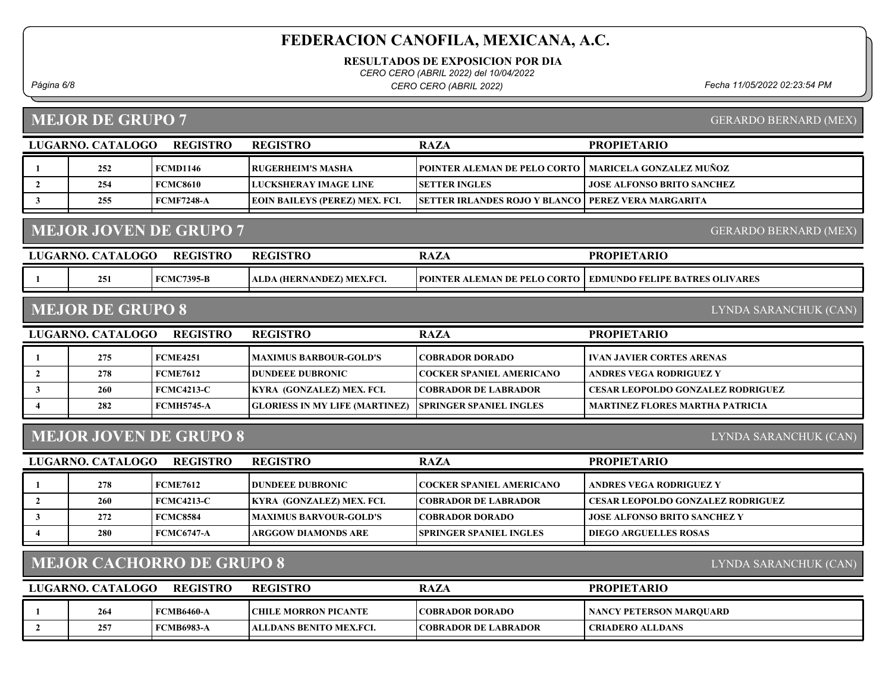RESULTADOS DE EXPOSICION POR DIA

CERO CERO (ABRIL 2022) del 10/04/2022

CERO CERO (ABRIL 2022)

Página 6/8 Fecha 11/05/2022 02:23:54 PM

MEJOR DE GRUPO 7

GERARDO BERNARD (MEX)

|                         | LUGARNO. CATALOGO                                         | <b>REGISTRO</b>               | <b>REGISTRO</b>                       | <b>RAZA</b>                     | <b>PROPIETARIO</b>                                            |  |
|-------------------------|-----------------------------------------------------------|-------------------------------|---------------------------------------|---------------------------------|---------------------------------------------------------------|--|
|                         | 252                                                       | <b>FCMD1146</b>               | <b>RUGERHEIM'S MASHA</b>              | POINTER ALEMAN DE PELO CORTO    | <b>MARICELA GONZALEZ MUÑOZ</b>                                |  |
| $\overline{2}$          | 254                                                       | <b>FCMC8610</b>               | <b>LUCKSHERAY IMAGE LINE</b>          | <b>SETTER INGLES</b>            | JOSE ALFONSO BRITO SANCHEZ                                    |  |
| $\mathbf{3}$            | 255                                                       | <b>FCMF7248-A</b>             | <b>EOIN BAILEYS (PEREZ) MEX. FCI.</b> | SETTER IRLANDES ROJO Y BLANCO   | PEREZ VERA MARGARITA                                          |  |
|                         |                                                           | <b>MEJOR JOVEN DE GRUPO 7</b> |                                       |                                 | <b>GERARDO BERNARD (MEX)</b>                                  |  |
|                         | <b>LUGARNO. CATALOGO</b>                                  | <b>REGISTRO</b>               | <b>REGISTRO</b>                       | <b>RAZA</b>                     | <b>PROPIETARIO</b>                                            |  |
| -1                      | 251                                                       | <b>FCMC7395-B</b>             | ALDA (HERNANDEZ) MEX.FCI.             |                                 | POINTER ALEMAN DE PELO CORTO   EDMUNDO FELIPE BATRES OLIVARES |  |
|                         | <b>MEJOR DE GRUPO 8</b>                                   |                               |                                       |                                 | LYNDA SARANCHUK (CAN)                                         |  |
|                         | LUGARNO. CATALOGO                                         | <b>REGISTRO</b>               | <b>REGISTRO</b>                       | <b>RAZA</b>                     | <b>PROPIETARIO</b>                                            |  |
| -1                      | 275                                                       | <b>FCME4251</b>               | <b>MAXIMUS BARBOUR-GOLD'S</b>         | <b>COBRADOR DORADO</b>          | IVAN JAVIER CORTES ARENAS                                     |  |
| $\overline{2}$          | 278                                                       | <b>FCME7612</b>               | <b>DUNDEEE DUBRONIC</b>               | COCKER SPANIEL AMERICANO        | ANDRES VEGA RODRIGUEZ Y                                       |  |
| 3                       | 260                                                       | <b>FCMC4213-C</b>             | KYRA (GONZALEZ) MEX. FCI.             | <b>COBRADOR DE LABRADOR</b>     | <b>CESAR LEOPOLDO GONZALEZ RODRIGUEZ</b>                      |  |
| $\overline{4}$          | 282                                                       | <b>FCMH5745-A</b>             | <b>GLORIESS IN MY LIFE (MARTINEZ)</b> | <b>SPRINGER SPANIEL INGLES</b>  | <b>MARTINEZ FLORES MARTHA PATRICIA</b>                        |  |
|                         |                                                           | <b>MEJOR JOVEN DE GRUPO 8</b> |                                       |                                 | LYNDA SARANCHUK (CAN)                                         |  |
|                         | LUGARNO. CATALOGO                                         | <b>REGISTRO</b>               | <b>REGISTRO</b>                       | <b>RAZA</b>                     | <b>PROPIETARIO</b>                                            |  |
| -1                      | 278                                                       | <b>FCME7612</b>               | <b>DUNDEEE DUBRONIC</b>               | <b>COCKER SPANIEL AMERICANO</b> | ANDRES VEGA RODRIGUEZ Y                                       |  |
| $\overline{2}$          | 260                                                       | <b>FCMC4213-C</b>             | KYRA (GONZALEZ) MEX. FCI.             | <b>COBRADOR DE LABRADOR</b>     | CESAR LEOPOLDO GONZALEZ RODRIGUEZ                             |  |
| 3                       | 272                                                       | <b>FCMC8584</b>               | <b>MAXIMUS BARVOUR-GOLD'S</b>         | <b>COBRADOR DORADO</b>          | JOSE ALFONSO BRITO SANCHEZ Y                                  |  |
| $\overline{\mathbf{4}}$ | 280                                                       | <b>FCMC6747-A</b>             | <b>ARGGOW DIAMONDS ARE</b>            | <b>SPRINGER SPANIEL INGLES</b>  | <b>DIEGO ARGUELLES ROSAS</b>                                  |  |
|                         | <b>MEJOR CACHORRO DE GRUPO 8</b><br>LYNDA SARANCHUK (CAN) |                               |                                       |                                 |                                                               |  |
|                         | LUGARNO. CATALOGO                                         | <b>REGISTRO</b>               | <b>REGISTRO</b>                       | <b>RAZA</b>                     | <b>PROPIETARIO</b>                                            |  |
| -1                      | 264                                                       | <b>FCMB6460-A</b>             | <b>CHILE MORRON PICANTE</b>           | <b>COBRADOR DORADO</b>          | <b>NANCY PETERSON MARQUARD</b>                                |  |

2 | 257 FCMB6983-A | ALLDANS BENITO MEX.FCI. | COBRADOR DE LABRADOR | CRIADERO ALLDANS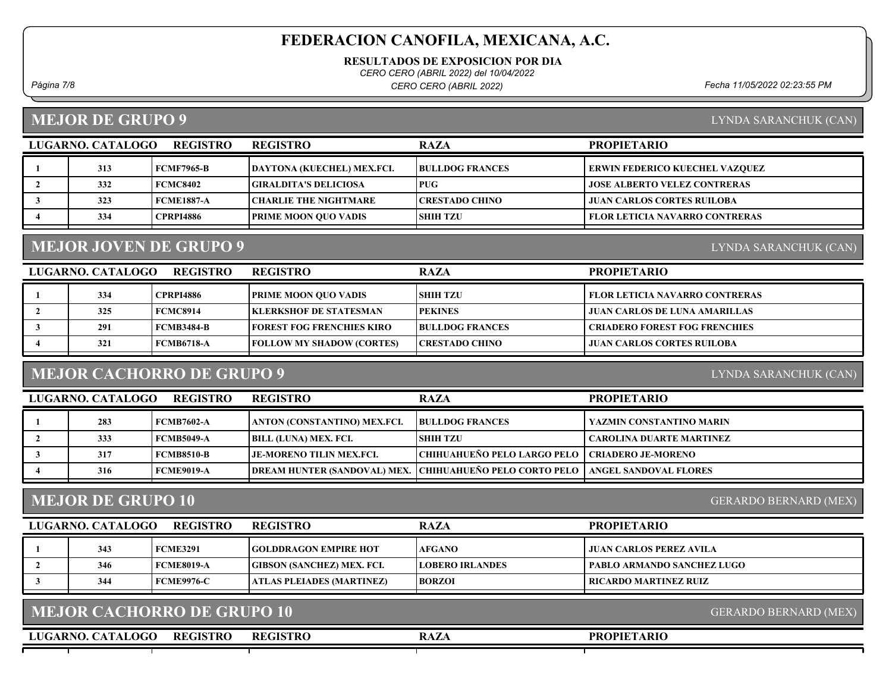RESULTADOS DE EXPOSICION POR DIA

CERO CERO (ABRIL 2022) del 10/04/2022

Página 7/8 Fecha 11/05/2022 02:23:55 PM CERO CERO (ABRIL 2022)

#### MEJOR DE GRUPO 9

LYNDA SARANCHUK (CAN)

LYNDA SARANCHUK (CAN)

| LUGARNO. CATALOGO | <b>REGISTRO</b>  | <b>REGISTRO</b>            | <b>RAZA</b>            | <b>PROPIETARIO</b>                    |
|-------------------|------------------|----------------------------|------------------------|---------------------------------------|
| 313               | FCMF7965-B       | DAYTONA (KUECHEL) MEX.FCI. | <b>BULLDOG FRANCES</b> | <b>ERWIN FEDERICO KUECHEL VAZQUEZ</b> |
| 332               | <b>FCMC8402</b>  | GIRALDITA'S DELICIOSA_     | <b>PUG</b>             | <b>JOSE ALBERTO VELEZ CONTRERAS</b>   |
| 323               | FCME1887-A       | CHARLIE THE NIGHTMARE      | <b>CRESTADO CHINO</b>  | <b>JUAN CARLOS CORTES RUILOBA</b>     |
| 334               | <b>CPRPI4886</b> | PRIME MOON OUO VADIS       | <b>SHIH TZU</b>        | FLOR LETICIA NAVARRO CONTRERAS        |

### MEJOR JOVEN DE GRUPO 9

LUGARNO. CATALOGO REGISTRO RAZA PROPIETARIO REGISTRO 1 334 CPRPI4886 PRIME MOON QUO VADIS SHIH TZU FLOR LETICIA NAVARRO CONTRERAS 2 325 FCMC8914 KLERKSHOF DE STATESMAN PEKINES JUAN CARLOS DE LUNA AMARILLAS 3 291 FCMB3484-B FOREST FOG FRENCHIES KIRO BULLDOG FRANCES CRIADERO FOREST FOG FRENCHIES 4 321 FCMB6718-A FOLLOW MY SHADOW (CORTES) CRESTADO CHINO JUAN CARLOS CORTES RUILOBA

### MEJOR CACHORRO DE GRUPO 9

LYNDA SARANCHUK (CAN)

|     | <b>REGISTRO</b> | <b>REGISTRO</b>                                                                             | <b>RAZA</b> | <b>PROPIETARIO</b>                                                                                                           |
|-----|-----------------|---------------------------------------------------------------------------------------------|-------------|------------------------------------------------------------------------------------------------------------------------------|
| 283 |                 | ANTON (CONSTANTINO) MEX.FCI.                                                                |             | YAZMIN CONSTANTINO MARIN                                                                                                     |
| 333 |                 | BILL (LUNA) MEX. FCI.                                                                       |             | <b>CAROLINA DUARTE MARTINEZ</b>                                                                                              |
| 317 |                 | LIE-MORENO TILIN MEX.FCL                                                                    |             |                                                                                                                              |
| 316 |                 | DREAM HUNTER (SANDOVAL) MEX.                                                                |             | <b>LANGEL SANDOVAL FLORES</b>                                                                                                |
|     |                 | LUGARNO. CATALOGO<br>  FCMB7602-A<br>  FCMB5049-A<br><b>FCMB8510-B</b><br><b>FCME9019-A</b> |             | <b>BULLDOG FRANCES</b><br><b>SHIH TZU</b><br>CHIHUAHUEÑO PELO LARGO PELO   CRIADERO JE-MORENO<br>CHIHUAHUEÑO PELO CORTO PELO |

### MEJOR DE GRUPO 10

GERARDO BERNARD (MEX)

GERARDO BERNARD (MEX)

| LUGARNO. CATALOGO | <b>REGISTRO</b>   | <b>REGISTRO</b>                  | <b>RAZA</b>            | <b>PROPIETARIO</b>         |
|-------------------|-------------------|----------------------------------|------------------------|----------------------------|
| 343               | <b>FCME3291</b>   | <b>IGOLDDRAGON EMPIRE HOT</b>    | <b>AFGANO</b>          | JUAN CARLOS PEREZ AVILA    |
| 346               | FCME8019-A        | GIBSON (SANCHEZ) MEX. FCI.       | <b>LOBERO IRLANDES</b> | PABLO ARMANDO SANCHEZ LUGO |
| 344               | <b>FCME9976-C</b> | <b>ATLAS PLEIADES (MARTINEZ)</b> | <b>BORZOI</b>          | RICARDO MARTINEZ RUIZ      |
|                   |                   |                                  |                        |                            |

|  | <b>MEJOR CACHORRO DE GRUPO 10</b> |
|--|-----------------------------------|
|  |                                   |

LUGARNO. CATALOGO REGISTRO RAZA REGISTRO

PROPIETARIO